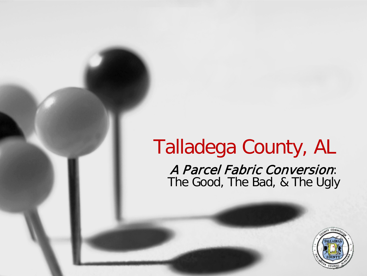### Talladega County, AL A Parcel Fabric Conversion: The Good, The Bad, & The Ugly

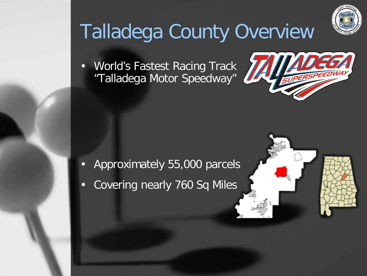

## Talladega County Overview

• World's Fastest Racing Track "Talladega Motor Speedway"



- Approximately 55,000 parcels
- Covering nearly 760 Sq Miles

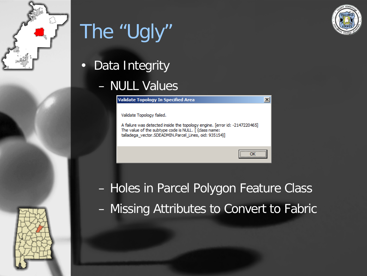



# The "Ugly"

• Data Integrity

#### – NULL Values

**Validate Topology In Specified Area** 

Validate Topology failed.

A failure was detected inside the topology engine. [error id: -2147220465] The value of the subtype code is NULL. [ (class name: talladega vector.SDEADMIN.Parcel Lines, oid: 935154)]

– Holes in Parcel Polygon Feature Class – Missing Attributes to Convert to Fabric

 $\vert x \vert$ 

OK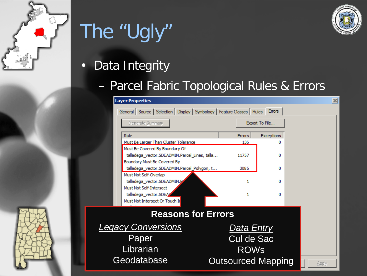

## The "Ugly"



#### – Parcel Fabric Topological Rules & Errors

|                                                   | <b>Layer Properties</b>                                                                                                                     |                   |                | $\vert x \vert$ |
|---------------------------------------------------|---------------------------------------------------------------------------------------------------------------------------------------------|-------------------|----------------|-----------------|
|                                                   | General   Source   Selection   Display   Symbology   Feature Classes   Rules   Errors                                                       |                   |                |                 |
|                                                   | Generate Summary                                                                                                                            |                   | Export To File |                 |
|                                                   | <b>Rule</b>                                                                                                                                 | <b>Errors</b>     | Exceptions     |                 |
|                                                   | Must Be Larger Than Cluster Tolerance                                                                                                       | 136               | Ω              |                 |
|                                                   | Must Be Covered By Boundary Of<br>talladega_vector.SDEADMIN.Parcel_Lines, talla<br>Boundary Must Be Covered By                              | 11757             | 0              |                 |
|                                                   | talladega_vector.SDEADMIN.Parcel_Polygon, t                                                                                                 | 3085              | 0              |                 |
|                                                   | Must Not Self-Overlap<br>talladega vector.SDEADMIN.P<br>Must Not Self-Intersect<br>talladega_vector.SDEAZ<br>Must Not Intersect Or Touch In | 1<br>1            | o<br>o         |                 |
| <b>Reasons for Errors</b>                         |                                                                                                                                             |                   |                |                 |
|                                                   |                                                                                                                                             |                   |                |                 |
| <b>Legacy Conversions</b>                         |                                                                                                                                             |                   | Data Entry     |                 |
| Paper                                             |                                                                                                                                             | <b>Cul de Sac</b> |                |                 |
| Librarian                                         |                                                                                                                                             |                   | <b>ROWS</b>    |                 |
| Geodatabase<br><b>Outsourced Mapping</b><br>Apply |                                                                                                                                             |                   |                |                 |

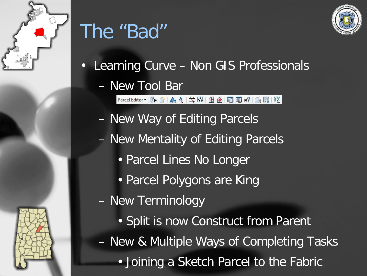

## The "Bad"



- Learning Curve Non GIS Professionals
	- New Tool Bar

Parcel Editor · R G | 4 4 | # F | A 图 F | 图 图 8 | 图 图 图

- New Way of Editing Parcels
- New Mentality of Editing Parcels
	- Parcel Lines No Longer
	- Parcel Polygons are King
- New Terminology
- Split is now Construct from Parent – New & Multiple Ways of Completing Tasks • Joining a Sketch Parcel to the Fabric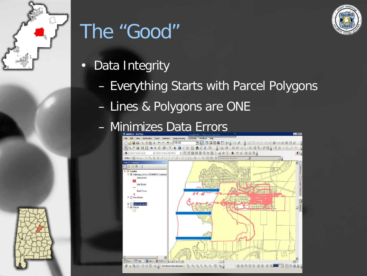

## The "Good"

- Data Integrity
	- Everything Starts with Parcel Polygons
	- Lines & Polygons are ONE
	- Minimizes Data Errors



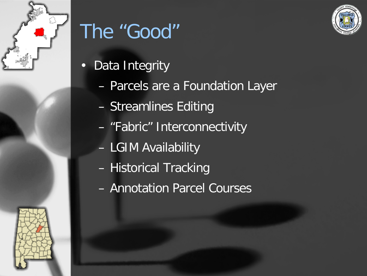

## The "Good"

- Data Integrity
	- Parcels are a Foundation Layer
	- Streamlines Editing
	- "Fabric" Interconnectivity
	- LGIM Availability
	- Historical Tracking
	- Annotation Parcel Courses



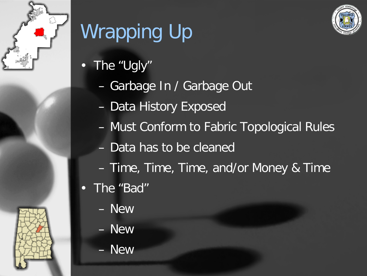

# Wrapping Up

- The "Ugly"
	- Garbage In / Garbage Out
	- Data History Exposed
	- Must Conform to Fabric Topological Rules
	- Data has to be cleaned
	- Time, Time, Time, and/or Money & Time
- The "Bad"
	- New
	- New
	- New

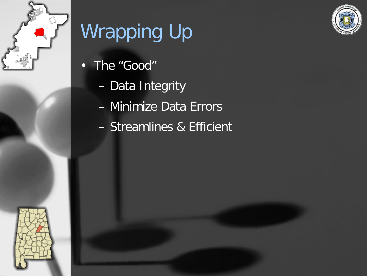

# Wrapping Up

- The "Good"
	- Data Integrity
	- Minimize Data Errors
	- Streamlines & Efficient